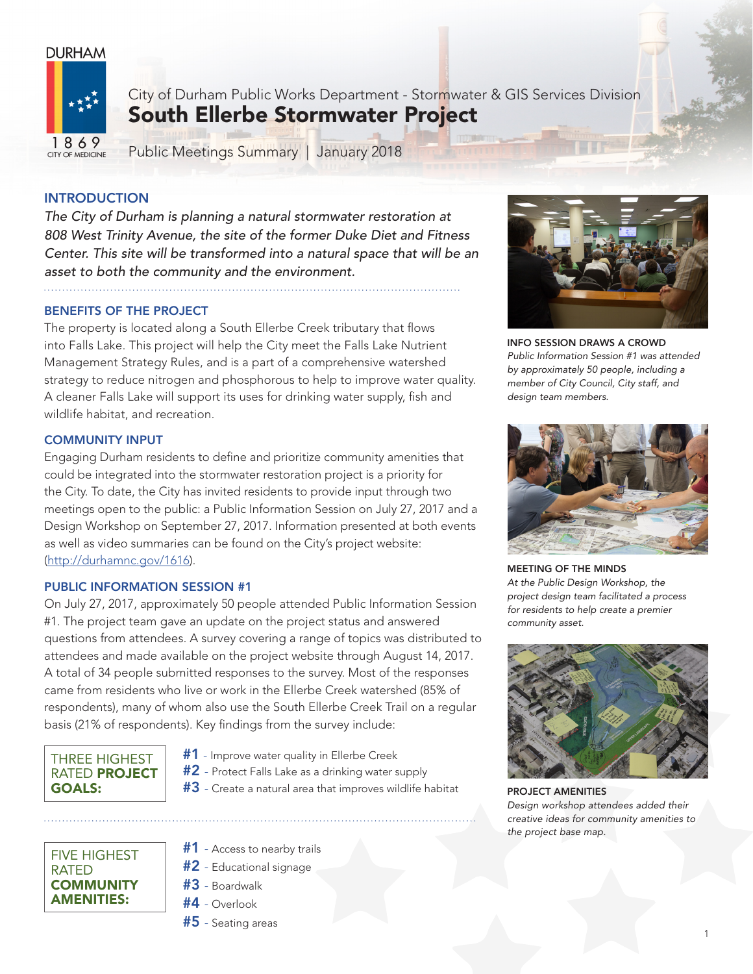# **DURHAM**



City of Durham Public Works Department - Stormwater & GIS Services Division South Ellerbe Stormwater Project

Public Meetings Summary | January 2018

# **INTRODUCTION**

*The City of Durham is planning a natural stormwater restoration at 808 West Trinity Avenue, the site of the former Duke Diet and Fitness Center. This site will be transformed into a natural space that will be an asset to both the community and the environment.*

# BENEFITS OF THE PROJECT

The property is located along a South Ellerbe Creek tributary that flows into Falls Lake. This project will help the City meet the Falls Lake Nutrient Management Strategy Rules, and is a part of a comprehensive watershed strategy to reduce nitrogen and phosphorous to help to improve water quality. A cleaner Falls Lake will support its uses for drinking water supply, fish and wildlife habitat, and recreation.

# COMMUNITY INPUT

Engaging Durham residents to define and prioritize community amenities that could be integrated into the stormwater restoration project is a priority for the City. To date, the City has invited residents to provide input through two meetings open to the public: a Public Information Session on July 27, 2017 and a Design Workshop on September 27, 2017. Information presented at both events as well as video summaries can be found on the City's project website: (http://durhamnc.gov/1616).

### PUBLIC INFORMATION SESSION #1

On July 27, 2017, approximately 50 people attended Public Information Session #1. The project team gave an update on the project status and answered questions from attendees. A survey covering a range of topics was distributed to attendees and made available on the project website through August 14, 2017. A total of 34 people submitted responses to the survey. Most of the responses came from residents who live or work in the Ellerbe Creek watershed (85% of respondents), many of whom also use the South Ellerbe Creek Trail on a regular basis (21% of respondents). Key findings from the survey include:

# THREE HIGHEST RATED PROJECT GOALS:

FIVE HIGHEST

**COMMUNITY** AMENITIES:

RATED

- #1 Improve water quality in Ellerbe Creek
- #2 Protect Falls Lake as a drinking water supply
- $#3$  Create a natural area that improves wildlife habitat
- **#1** Access to nearby trails
- $#2$  Educational signage
- #3 Boardwalk
- #4 Overlook
- $#5$  Seating areas



INFO SESSION DRAWS A CROWD *Public Information Session #1 was attended by approximately 50 people, including a member of City Council, City staff, and design team members.*



MEETING OF THE MINDS *At the Public Design Workshop, the project design team facilitated a process for residents to help create a premier community asset.*



PROJECT AMENITIES *Design workshop attendees added their creative ideas for community amenities to the project base map.*